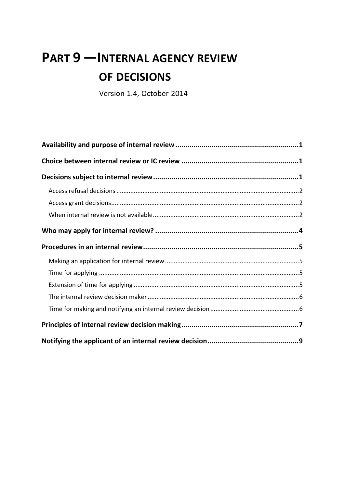# **PART 9 —INTERNAL AGENCY REVIEW OF DECISIONS**

Version 1.4, October 2014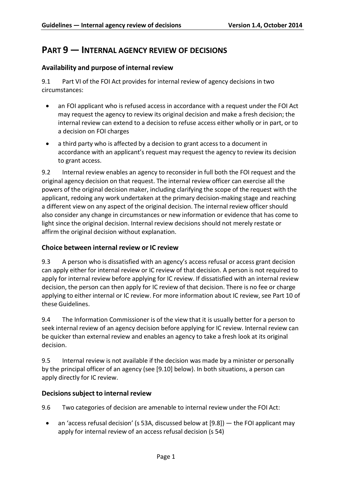# **PART 9 — INTERNAL AGENCY REVIEW OF DECISIONS**

# <span id="page-1-0"></span>**Availability and purpose of internal review**

9.1 Part VI of the FOI Act provides for internal review of agency decisions in two circumstances:

- an FOI applicant who is refused access in accordance with a request under the FOI Act may request the agency to review its original decision and make a fresh decision; the internal review can extend to a decision to refuse access either wholly or in part, or to a decision on FOI charges
- a third party who is affected by a decision to grant access to a document in accordance with an applicant's request may request the agency to review its decision to grant access.

9.2 Internal review enables an agency to reconsider in full both the FOI request and the original agency decision on that request. The internal review officer can exercise all the powers of the original decision maker, including clarifying the scope of the request with the applicant, redoing any work undertaken at the primary decision-making stage and reaching a different view on any aspect of the original decision. The internal review officer should also consider any change in circumstances or new information or evidence that has come to light since the original decision. Internal review decisions should not merely restate or affirm the original decision without explanation.

## <span id="page-1-1"></span>**Choice between internal review or IC review**

9.3 A person who is dissatisfied with an agency's access refusal or access grant decision can apply either for internal review or IC review of that decision. A person is not required to apply for internal review before applying for IC review. If dissatisfied with an internal review decision, the person can then apply for IC review of that decision. There is no fee or charge applying to either internal or IC review. For more information about IC review, see Part 10 of these Guidelines.

9.4 The Information Commissioner is of the view that it is usually better for a person to seek internal review of an agency decision before applying for IC review. Internal review can be quicker than external review and enables an agency to take a fresh look at its original decision.

9.5 Internal review is not available if the decision was made by a minister or personally by the principal officer of an agency (see [\[9.10\]](#page-3-0) below). In both situations, a person can apply directly for IC review.

## <span id="page-1-2"></span>**Decisionssubject to internal review**

9.6 Two categories of decision are amenable to internal review under the FOI Act:

<span id="page-1-3"></span>• an 'access refusal decision' (s 53A, discussed below at [\[9.8\]](#page-2-3)) — the FOI applicant may apply for internal review of an access refusal decision (s 54)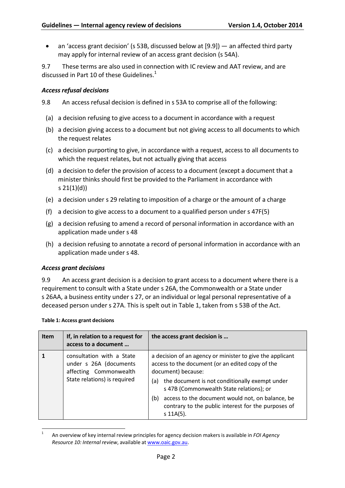• an 'access grant decision' (s 53B, discussed below at [\[9.9\]](#page-2-4)) — an affected third party may apply for internal review of an access grant decision (s 54A).

9.7 These terms are also used in connection with IC review and AAT review, and are discussed in Part 10 of these Guidelines. $1$ 

## <span id="page-2-0"></span>*Accessrefusal decisions*

<span id="page-2-3"></span>9.8 An access refusal decision is defined in s 53A to comprise all of the following:

- (a) a decision refusing to give access to a document in accordance with a request
- (b) a decision giving access to a document but not giving access to all documents to which the request relates
- (c) a decision purporting to give, in accordance with a request, access to all documents to which the request relates, but not actually giving that access
- (d) a decision to defer the provision of access to a document (except a document that a minister thinks should first be provided to the Parliament in accordance with s 21(1)(d))
- (e) a decision under s 29 relating to imposition of a charge or the amount of a charge
- (f) a decision to give access to a document to a qualified person under s 47F(5)
- (g) a decision refusing to amend a record of personal information in accordance with an application made under s 48
- (h) a decision refusing to annotate a record of personal information in accordance with an application made under s 48.

## <span id="page-2-1"></span>*Access grant decisions*

<span id="page-2-4"></span>9.9 An access grant decision is a decision to grant access to a document where there is a requirement to consult with a State under s 26A, the Commonwealth or a State under s 26AA, a business entity under s 27, or an individual or legal personal representative of a deceased person under s 27A. This is spelt out in Table 1, taken from s 53B of the Act.

#### **Table 1: Access grant decisions**

<span id="page-2-2"></span>

| <b>Item</b> | If, in relation to a request for<br>access to a document                                                      | the access grant decision is                                                                                                                                                                                                                                                                                                                                              |
|-------------|---------------------------------------------------------------------------------------------------------------|---------------------------------------------------------------------------------------------------------------------------------------------------------------------------------------------------------------------------------------------------------------------------------------------------------------------------------------------------------------------------|
|             | consultation with a State<br>under s 26A (documents<br>affecting Commonwealth<br>State relations) is required | a decision of an agency or minister to give the applicant<br>access to the document (or an edited copy of the<br>document) because:<br>the document is not conditionally exempt under<br>(a)<br>s 47B (Commonwealth State relations); or<br>access to the document would not, on balance, be<br>(b)<br>contrary to the public interest for the purposes of<br>$s$ 11A(5). |

<sup>1</sup> An overview of key internal review principles for agency decision makersis available in *FOI Agency Resource 10: Internal review*, available at [www.oaic.gov.au.](http://www.oaic.gov.au/)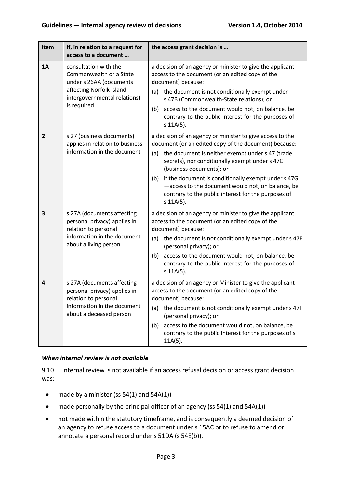| Item           | If, in relation to a request for<br>access to a document                                                                                               | the access grant decision is                                                                                                                                                                                                                                                                                                                                                                                                                         |  |
|----------------|--------------------------------------------------------------------------------------------------------------------------------------------------------|------------------------------------------------------------------------------------------------------------------------------------------------------------------------------------------------------------------------------------------------------------------------------------------------------------------------------------------------------------------------------------------------------------------------------------------------------|--|
| <b>1A</b>      | consultation with the<br>Commonwealth or a State<br>under s 26AA (documents<br>affecting Norfolk Island<br>intergovernmental relations)<br>is required | a decision of an agency or minister to give the applicant<br>access to the document (or an edited copy of the<br>document) because:<br>the document is not conditionally exempt under<br>(a)<br>s 47B (Commonwealth-State relations); or<br>access to the document would not, on balance, be<br>(b)<br>contrary to the public interest for the purposes of<br>$s$ 11A(5).                                                                            |  |
| $\overline{2}$ | s 27 (business documents)<br>applies in relation to business<br>information in the document                                                            | a decision of an agency or minister to give access to the<br>document (or an edited copy of the document) because:<br>the document is neither exempt under s 47 (trade<br>(a)<br>secrets), nor conditionally exempt under s 47G<br>(business documents); or<br>if the document is conditionally exempt under s 47G<br>(b)<br>-access to the document would not, on balance, be<br>contrary to the public interest for the purposes of<br>$s$ 11A(5). |  |
| 3              | s 27A (documents affecting<br>personal privacy) applies in<br>relation to personal<br>information in the document<br>about a living person             | a decision of an agency or minister to give the applicant<br>access to the document (or an edited copy of the<br>document) because:<br>the document is not conditionally exempt under s 47F<br>(a)<br>(personal privacy); or<br>access to the document would not, on balance, be<br>(b)<br>contrary to the public interest for the purposes of<br>$s$ 11A(5).                                                                                        |  |
| 4              | s 27A (documents affecting<br>personal privacy) applies in<br>relation to personal<br>information in the document<br>about a deceased person           | a decision of an agency or Minister to give the applicant<br>access to the document (or an edited copy of the<br>document) because:<br>the document is not conditionally exempt under s 47F<br>(a)<br>(personal privacy); or<br>access to the document would not, on balance, be<br>(b)<br>contrary to the public interest for the purposes of s<br>$11A(5)$ .                                                                                       |  |

## *When internal review is not available*

<span id="page-3-0"></span>9.10 Internal review is not available if an access refusal decision or access grant decision was:

- made by a minister (ss 54(1) and 54A(1))
- made personally by the principal officer of an agency (ss 54(1) and 54A(1))
- not made within the statutory timeframe, and is consequently a deemed decision of an agency to refuse access to a document under s 15AC or to refuse to amend or annotate a personal record under s 51DA (s 54E(b)).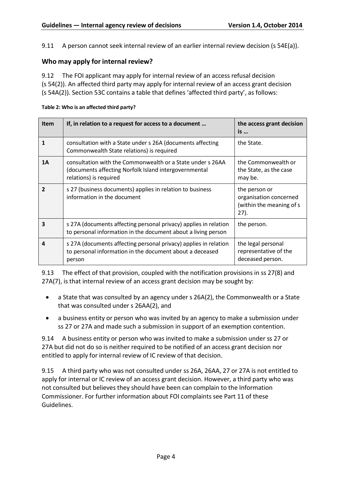9.11 A person cannot seek internal review of an earlier internal review decision (s 54E(a)).

#### <span id="page-4-0"></span>**Who may apply for internal review?**

9.12 The FOI applicant may apply for internal review of an access refusal decision (s 54(2)). An affected third party may apply for internal review of an access grant decision (s 54A(2)). Section 53C contains a table that defines 'affected third party', as follows:

#### **Table 2: Who is an affected third party?**

| <b>Item</b>  | If, in relation to a request for access to a document                                                                                         | the access grant decision<br>is                                             |
|--------------|-----------------------------------------------------------------------------------------------------------------------------------------------|-----------------------------------------------------------------------------|
| 1            | consultation with a State under s 26A (documents affecting<br>Commonwealth State relations) is required                                       | the State.                                                                  |
| 1A           | consultation with the Commonwealth or a State under s 26AA<br>(documents affecting Norfolk Island intergovernmental<br>relations) is required | the Commonwealth or<br>the State, as the case<br>may be.                    |
| $\mathbf{z}$ | s 27 (business documents) applies in relation to business<br>information in the document                                                      | the person or<br>organisation concerned<br>(within the meaning of s<br>27). |
| 3            | s 27A (documents affecting personal privacy) applies in relation<br>to personal information in the document about a living person             | the person.                                                                 |
| 4            | s 27A (documents affecting personal privacy) applies in relation<br>to personal information in the document about a deceased<br>person        | the legal personal<br>representative of the<br>deceased person.             |

9.13 The effect of that provision, coupled with the notification provisions in ss 27(8) and 27A(7), is that internal review of an access grant decision may be sought by:

- a State that was consulted by an agency under s 26A(2), the Commonwealth or a State that was consulted under s 26AA(2), and
- a business entity or person who was invited by an agency to make a submission under ss 27 or 27A and made such a submission in support of an exemption contention.

9.14 A business entity or person who was invited to make a submission under ss 27 or 27A but did not do so is neither required to be notified of an access grant decision nor entitled to apply for internal review of IC review of that decision.

9.15 A third party who was not consulted under ss 26A, 26AA, 27 or 27A is not entitled to apply for internal or IC review of an access grant decision. However, a third party who was not consulted but believes they should have been can complain to the Information Commissioner. For further information about FOI complaints see Part 11 of these Guidelines.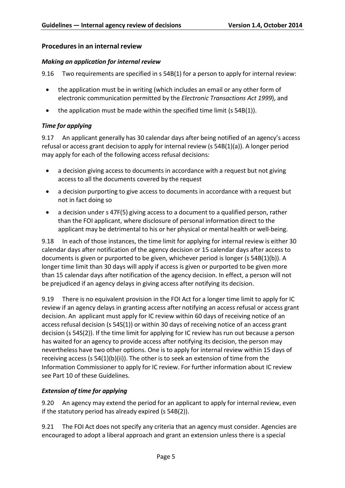## <span id="page-5-0"></span>**Proceduresin an internal review**

#### <span id="page-5-1"></span>*Making an application for internal review*

9.16 Two requirements are specified in s 54B(1) for a person to apply for internal review:

- the application must be in writing (which includes an email or any other form of electronic communication permitted by the *Electronic Transactions Act 1999*), and
- the application must be made within the specified time limit (s 54B(1)).

## <span id="page-5-2"></span>*Time for applying*

9.17 An applicant generally has 30 calendar days after being notified of an agency's access refusal or access grant decision to apply for internal review (s 54B(1)(a)). A longer period may apply for each of the following access refusal decisions:

- a decision giving access to documents in accordance with a request but not giving access to all the documents covered by the request
- a decision purporting to give access to documents in accordance with a request but not in fact doing so
- a decision under s 47F(5) giving access to a document to a qualified person, rather than the FOI applicant, where disclosure of personal information direct to the applicant may be detrimental to his or her physical or mental health or well-being.

9.18 In each of those instances, the time limit for applying for internal review is either 30 calendar days after notification of the agency decision or 15 calendar days after access to documents is given or purported to be given, whichever period is longer (s 54B(1)(b)). A longer time limit than 30 days will apply if access is given or purported to be given more than 15 calendar days after notification of the agency decision. In effect, a person will not be prejudiced if an agency delays in giving access after notifying its decision.

9.19 There is no equivalent provision in the FOI Act for a longer time limit to apply for IC review if an agency delays in granting access after notifying an access refusal or access grant decision. An applicant must apply for IC review within 60 days of receiving notice of an access refusal decision (s 54S(1)) or within 30 days of receiving notice of an access grant decision (s 54S(2)). If the time limit for applying for IC review has run out because a person has waited for an agency to provide access after notifying its decision, the person may nevertheless have two other options. One is to apply for internal review within 15 days of receiving access (s 54(1)(b)(ii)). The other is to seek an extension of time from the Information Commissioner to apply for IC review. For further information about IC review see Part 10 of these Guidelines.

## <span id="page-5-3"></span>*Extension of time for applying*

9.20 An agency may extend the period for an applicant to apply for internal review, even if the statutory period has already expired (s 54B(2)).

9.21 The FOI Act does not specify any criteria that an agency must consider. Agencies are encouraged to adopt a liberal approach and grant an extension unless there is a special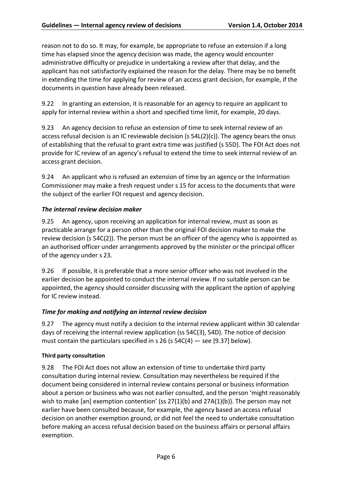reason not to do so. It may, for example, be appropriate to refuse an extension if a long time has elapsed since the agency decision was made, the agency would encounter administrative difficulty or prejudice in undertaking a review after that delay, and the applicant has not satisfactorily explained the reason for the delay. There may be no benefit in extending the time for applying for review of an access grant decision, for example, if the documents in question have already been released.

9.22 In granting an extension, it is reasonable for an agency to require an applicant to apply for internal review within a short and specified time limit, for example, 20 days.

9.23 An agency decision to refuse an extension of time to seek internal review of an access refusal decision is an IC reviewable decision (s 54L(2)(c)). The agency bears the onus of establishing that the refusal to grant extra time was justified (s 55D). The FOI Act does not provide for IC review of an agency's refusal to extend the time to seek internal review of an access grant decision.

9.24 An applicant who is refused an extension of time by an agency or the Information Commissioner may make a fresh request under s 15 for access to the documents that were the subject of the earlier FOI request and agency decision.

#### <span id="page-6-0"></span>*The internal review decision maker*

9.25 An agency, upon receiving an application for internal review, must as soon as practicable arrange for a person other than the original FOI decision maker to make the review decision (s 54C(2)). The person must be an officer of the agency who is appointed as an authorised officer under arrangements approved by the minister or the principal officer of the agency under s 23.

<span id="page-6-2"></span>9.26 If possible, it is preferable that a more senior officer who was not involved in the earlier decision be appointed to conduct the internal review. If no suitable person can be appointed, the agency should consider discussing with the applicant the option of applying for IC review instead.

## <span id="page-6-1"></span>*Time for making and notifying an internal review decision*

9.27 The agency must notify a decision to the internal review applicant within 30 calendar days of receiving the internal review application (ss 54C(3), 54D). The notice of decision must contain the particulars specified in s 26 (s  $54C(4)$  – see [\[9.37\]](#page-9-1) below).

#### **Third party consultation**

9.28 The FOI Act does not allow an extension of time to undertake third party consultation during internal review. Consultation may nevertheless be required if the document being considered in internal review contains personal or business information about a person or business who was not earlier consulted, and the person 'might reasonably wish to make [an] exemption contention' (ss  $27(1)(b)$  and  $27A(1)(b)$ ). The person may not earlier have been consulted because, for example, the agency based an access refusal decision on another exemption ground, or did not feel the need to undertake consultation before making an access refusal decision based on the business affairs or personal affairs exemption.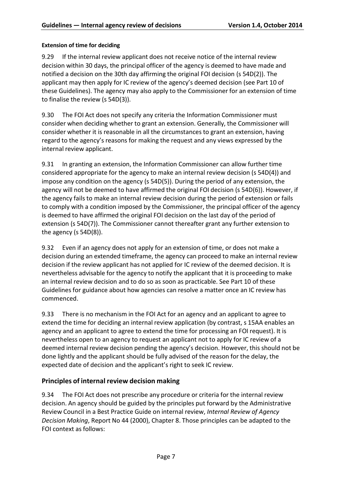## **Extension of time for deciding**

9.29 If the internal review applicant does not receive notice of the internal review decision within 30 days, the principal officer of the agency is deemed to have made and notified a decision on the 30th day affirming the original FOI decision (s 54D(2)). The applicant may then apply for IC review of the agency's deemed decision (see Part 10 of these Guidelines). The agency may also apply to the Commissioner for an extension of time to finalise the review (s 54D(3)).

9.30 The FOI Act does not specify any criteria the Information Commissioner must consider when deciding whether to grant an extension. Generally, the Commissioner will consider whether it is reasonable in all the circumstances to grant an extension, having regard to the agency's reasons for making the request and any views expressed by the internal review applicant.

9.31 In granting an extension, the Information Commissioner can allow further time considered appropriate for the agency to make an internal review decision (s 54D(4)) and impose any condition on the agency (s 54D(5)). During the period of any extension, the agency will not be deemed to have affirmed the original FOI decision (s 54D(6)). However, if the agency fails to make an internal review decision during the period of extension or fails to comply with a condition imposed by the Commissioner, the principal officer of the agency is deemed to have affirmed the original FOI decision on the last day of the period of extension (s 54D(7)). The Commissioner cannot thereafter grant any further extension to the agency (s 54D(8)).

9.32 Even if an agency does not apply for an extension of time, or does not make a decision during an extended timeframe, the agency can proceed to make an internal review decision if the review applicant has not applied for IC review of the deemed decision. It is nevertheless advisable for the agency to notify the applicant that it is proceeding to make an internal review decision and to do so as soon as practicable. See Part 10 of these Guidelines for guidance about how agencies can resolve a matter once an IC review has commenced.

9.33 There is no mechanism in the FOI Act for an agency and an applicant to agree to extend the time for deciding an internal review application (by contrast, s 15AA enables an agency and an applicant to agree to extend the time for processing an FOI request). It is nevertheless open to an agency to request an applicant not to apply for IC review of a deemed internal review decision pending the agency's decision. However, this should not be done lightly and the applicant should be fully advised of the reason for the delay, the expected date of decision and the applicant's right to seek IC review.

## <span id="page-7-0"></span>**Principles of internal review decision making**

9.34 The FOI Act does not prescribe any procedure or criteria for the internal review decision. An agency should be guided by the principles put forward by the Administrative Review Council in a Best Practice Guide on internal review, *Internal Review of Agency Decision Making*, Report No 44 (2000), Chapter 8. Those principles can be adapted to the FOI context as follows: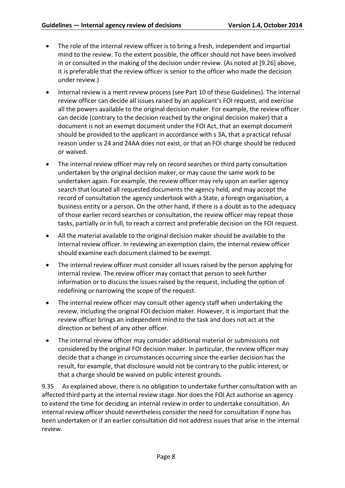- The role of the internal review officer is to bring a fresh, independent and impartial mind to the review. To the extent possible, the officer should not have been involved in or consulted in the making of the decision under review. (As noted at [\[9.26\]](#page-6-2) above, it is preferable that the review officer is senior to the officer who made the decision under review.)
- Internal review is a merit review process (see Part 10 of these Guidelines). The internal review officer can decide all issues raised by an applicant's FOI request, and exercise all the powers available to the original decision maker. For example, the review officer can decide (contrary to the decision reached by the original decision maker) that a document is not an exempt document under the FOI Act, that an exempt document should be provided to the applicant in accordance with s 3A, that a practical refusal reason under ss 24 and 24AA does not exist, or that an FOI charge should be reduced or waived.
- The internal review officer may rely on record searches or third party consultation undertaken by the original decision maker, or may cause the same work to be undertaken again. For example, the review officer may rely upon an earlier agency search that located all requested documents the agency held, and may accept the record of consultation the agency undertook with a State, a foreign organisation, a business entity or a person. On the other hand, if there is a doubt as to the adequacy of those earlier record searches or consultation, the review officer may repeat those tasks, partially or in full, to reach a correct and preferable decision on the FOI request.
- All the material available to the original decision maker should be available to the internal review officer. In reviewing an exemption claim, the internal review officer should examine each document claimed to be exempt.
- The internal review officer must consider all issues raised by the person applying for internal review. The review officer may contact that person to seek further information or to discuss the issues raised by the request, including the option of redefining or narrowing the scope of the request.
- The internal review officer may consult other agency staff when undertaking the review, including the original FOI decision maker. However, it is important that the review officer brings an independent mind to the task and does not act at the direction or behest of any other officer.
- The internal review officer may consider additional material or submissions not considered by the original FOI decision maker. In particular, the review officer may decide that a change in circumstances occurring since the earlier decision has the result, for example, that disclosure would not be contrary to the public interest, or that a charge should be waived on public interest grounds.

9.35 As explained above, there is no obligation to undertake further consultation with an affected third party at the internal review stage. Nor doesthe FOI Act authorise an agency to extend the time for deciding an internal review in order to undertake consultation. An internal review officer should nevertheless consider the need for consultation if none has been undertaken or if an earlier consultation did not address issues that arise in the internal review.